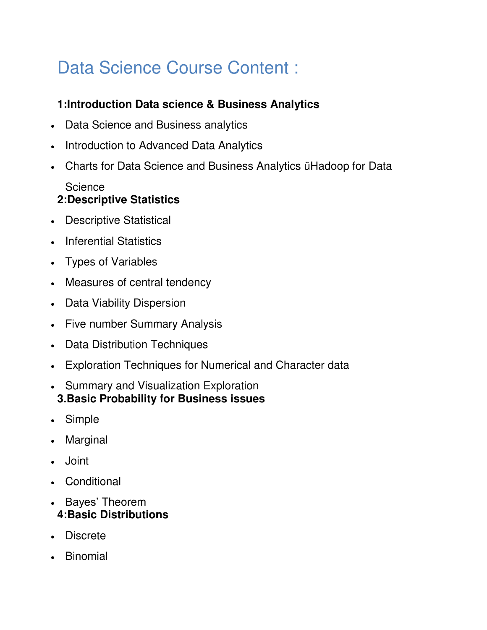## Data Science Course Content :

## **1:Introduction Data science & Business Analytics**

- Data Science and Business analytics
- Introduction to Advanced Data Analytics
- Charts for Data Science and Business Analytics üHadoop for Data

## **Science 2:Descriptive Statistics**

- Descriptive Statistical
- Inferential Statistics
- Types of Variables
- Measures of central tendency
- Data Viability Dispersion
- Five number Summary Analysis
- Data Distribution Techniques
- Exploration Techniques for Numerical and Character data
- Summary and Visualization Exploration **3.Basic Probability for Business issues**
- Simple
- Marginal
- Joint
- Conditional
- Bayes' Theorem **4:Basic Distributions**
- Discrete
- Binomial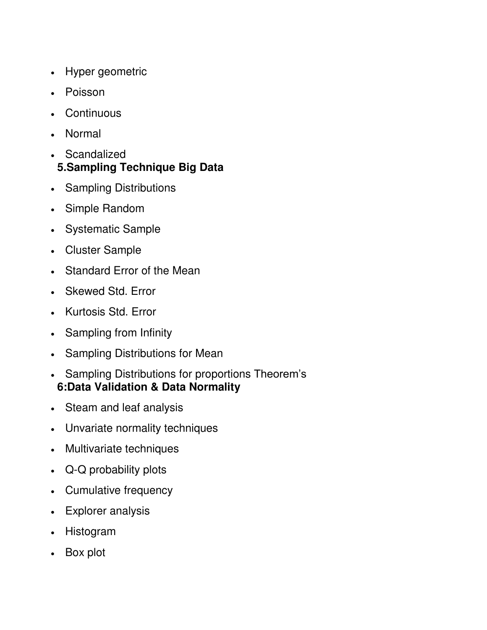- Hyper geometric
- Poisson
- **Continuous**
- Normal
- Scandalized
- **5.Sampling Technique Big Data**
- Sampling Distributions
- Simple Random
- Systematic Sample
- Cluster Sample
- Standard Error of the Mean
- Skewed Std. Error
- Kurtosis Std. Error
- Sampling from Infinity
- Sampling Distributions for Mean
- Sampling Distributions for proportions Theorem's **6:Data Validation & Data Normality**
- Steam and leaf analysis
- Unvariate normality techniques
- Multivariate techniques
- Q-Q probability plots
- Cumulative frequency
- Explorer analysis
- Histogram
- Box plot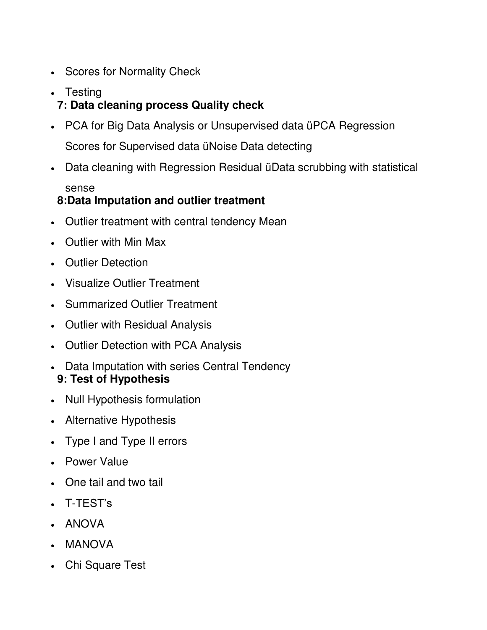- Scores for Normality Check
- Testing **7: Data cleaning process Quality check**
- PCA for Big Data Analysis or Unsupervised data üPCA Regression Scores for Supervised data üNoise Data detecting
- Data cleaning with Regression Residual üData scrubbing with statistical sense

## **8:Data Imputation and outlier treatment**

- Outlier treatment with central tendency Mean
- Outlier with Min Max
- Outlier Detection
- Visualize Outlier Treatment
- Summarized Outlier Treatment
- Outlier with Residual Analysis
- Outlier Detection with PCA Analysis
- Data Imputation with series Central Tendency **9: Test of Hypothesis**
- Null Hypothesis formulation
- Alternative Hypothesis
- Type I and Type II errors
- Power Value
- One tail and two tail
- T-TEST's
- ANOVA
- MANOVA
- Chi Square Test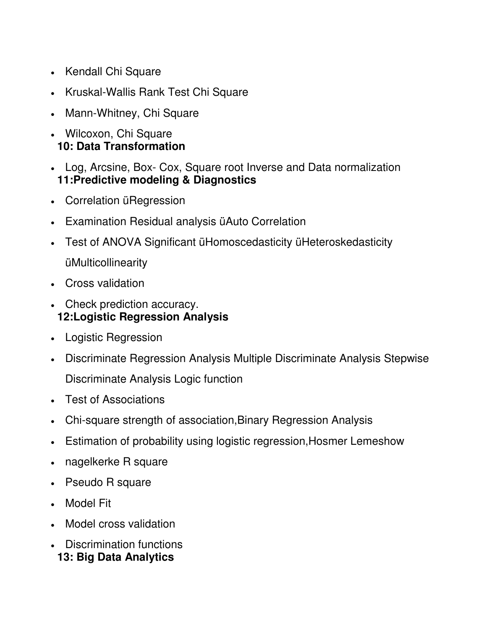- Kendall Chi Square
- Kruskal-Wallis Rank Test Chi Square
- Mann-Whitney, Chi Square
- Wilcoxon, Chi Square **10: Data Transformation**
- Log, Arcsine, Box- Cox, Square root Inverse and Data normalization **11:Predictive modeling & Diagnostics**
- Correlation üRegression
- Examination Residual analysis üAuto Correlation
- Test of ANOVA Significant üHomoscedasticity üHeteroskedasticity üMulticollinearity
- Cross validation
- Check prediction accuracy. **12:Logistic Regression Analysis**
- Logistic Regression
- Discriminate Regression Analysis Multiple Discriminate Analysis Stepwise Discriminate Analysis Logic function
- Test of Associations
- Chi-square strength of association,Binary Regression Analysis
- Estimation of probability using logistic regression,Hosmer Lemeshow
- nagelkerke R square
- Pseudo R square
- Model Fit
- Model cross validation
- Discrimination functions **13: Big Data Analytics**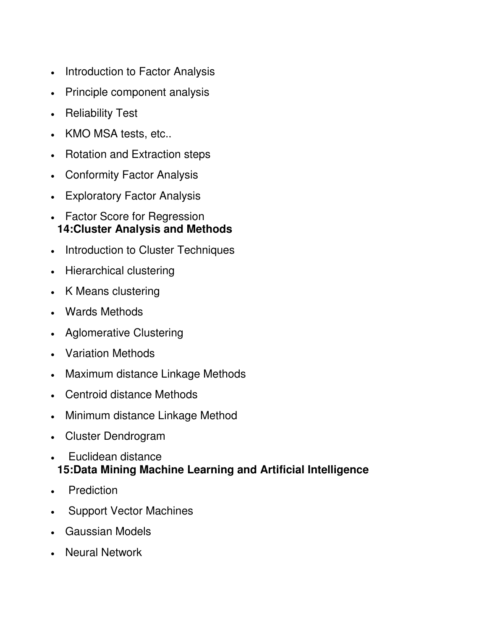- Introduction to Factor Analysis
- Principle component analysis
- Reliability Test
- KMO MSA tests, etc..
- Rotation and Extraction steps
- Conformity Factor Analysis
- Exploratory Factor Analysis
- Factor Score for Regression **14:Cluster Analysis and Methods**
- Introduction to Cluster Techniques
- Hierarchical clustering
- K Means clustering
- Wards Methods
- Aglomerative Clustering
- Variation Methods
- Maximum distance Linkage Methods
- Centroid distance Methods
- Minimum distance Linkage Method
- Cluster Dendrogram
- Euclidean distance **15:Data Mining Machine Learning and Artificial Intelligence**
- Prediction
- Support Vector Machines
- Gaussian Models
- Neural Network